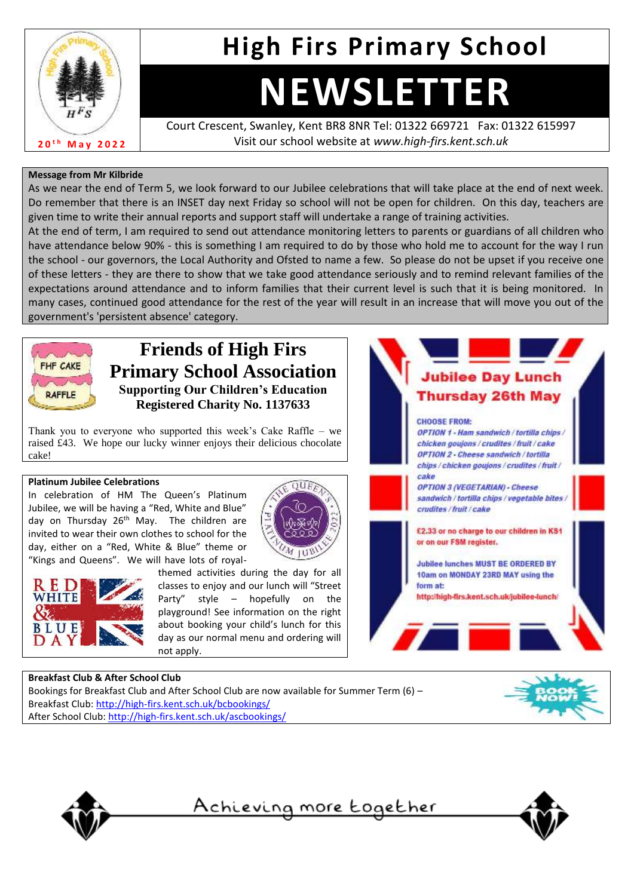

## **High Firs Primary School**

# **NEWSLETTER**

Court Crescent, Swanley, Kent BR8 8NR Tel: 01322 669721 Fax: 01322 615997 Visit our school website at *www.high-firs.kent.sch.uk*

#### **Message from Mr Kilbride**

As we near the end of Term 5, we look forward to our Jubilee celebrations that will take place at the end of next week. Do remember that there is an INSET day next Friday so school will not be open for children. On this day, teachers are given time to write their annual reports and support staff will undertake a range of training activities.

At the end of term, I am required to send out attendance monitoring letters to parents or guardians of all children who have attendance below 90% - this is something I am required to do by those who hold me to account for the way I run the school - our governors, the Local Authority and Ofsted to name a few. So please do not be upset if you receive one of these letters - they are there to show that we take good attendance seriously and to remind relevant families of the expectations around attendance and to inform families that their current level is such that it is being monitored. In many cases, continued good attendance for the rest of the year will result in an increase that will move you out of the government's 'persistent absence' category.



### **Friends of High Firs Primary School Association Supporting Our Children's Education Registered Charity No. 1137633**

Thank you to everyone who supported this week's Cake Raffle – we raised £43. We hope our lucky winner enjoys their delicious chocolate cake!

#### **Platinum Jubilee Celebrations**

In celebration of HM The Queen's Platinum Jubilee, we will be having a "Red, White and Blue" day on Thursday 26<sup>th</sup> May. The children are invited to wear their own clothes to school for the day, either on a "Red, White & Blue" theme or "Kings and Queens". We will have lots of royal-





themed activities during the day for all classes to enjoy and our lunch will "Street Party" style – hopefully on the playground! See information on the right about booking your child's lunch for this day as our normal menu and ordering will not apply.



#### **Breakfast Club & After School Club** Bookings for Breakfast Club and After School Club are now available for Summer Term (6) –

Breakfast Club:<http://high-firs.kent.sch.uk/bcbookings/> After School Club:<http://high-firs.kent.sch.uk/ascbookings/>





<u>Achieving more together</u>

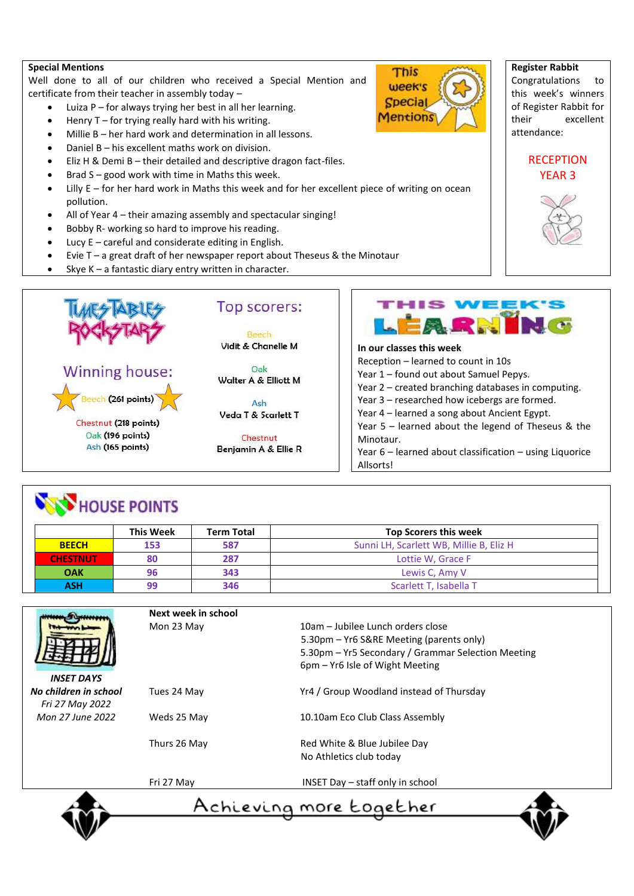#### **Special Mentions**

Well done to all of our children who received a Special Mention and certificate from their teacher in assembly today –

- Luiza  $P$  for always trying her best in all her learning.
- Henry  $T$  for trying really hard with his writing.
- Millie B her hard work and determination in all lessons.
- Daniel B his excellent maths work on division.
- Eliz H & Demi B their detailed and descriptive dragon fact-files.
- Brad  $S$  good work with time in Maths this week.
- Lilly E for her hard work in Maths this week and for her excellent piece of writing on ocean pollution.
- All of Year 4 their amazing assembly and spectacular singing!
- Bobby R- working so hard to improve his reading.
- Lucy  $E$  careful and considerate editing in English.
- Evie  $T a$  great draft of her newspaper report about Theseus & the Minotaur
- Skye K a fantastic diary entry written in character.





Vidit & Chanelle M

Oak Walter A & Elliott M

Ash Veda T & Scarlett T

Chestnut Benjamin A & Ellie R





Congratulations to this week's winners of Register Rabbit for their excellent attendance:

#### **RECEPTION** YEAR 3





Year 2 – created branching databases in computing. Year 3 – researched how icebergs are formed. Year 4 – learned a song about Ancient Egypt. Year 5 – learned about the legend of Theseus & the Minotaur. Year 6 – learned about classification – using Liquorice Allsorts!

## **NOW HOUSE POINTS**

|                 | <b>This Week</b> | <b>Term Total</b> | <b>Top Scorers this week</b>            |
|-----------------|------------------|-------------------|-----------------------------------------|
| <b>BEECH</b>    | 153              | 587               | Sunni LH, Scarlett WB, Millie B, Eliz H |
| <b>CHESTNUT</b> | 80               | 287               | Lottie W. Grace F                       |
| <b>OAK</b>      | 96               | 343               | Lewis C. Amy V                          |
| <b>ASH</b>      | 99               | 346               | Scarlett T, Isabella T                  |



*INSET DAYS No children in school Fri 27 May 2022 Mon 27 June 2022*

| Next week in school |                                                                                                                                                                        |
|---------------------|------------------------------------------------------------------------------------------------------------------------------------------------------------------------|
| Mon 23 May          | 10am – Jubilee Lunch orders close<br>5.30pm – Yr6 S&RE Meeting (parents only)<br>5.30pm – Yr5 Secondary / Grammar Selection Meeting<br>6pm – Yr6 Isle of Wight Meeting |
| Tues 24 May         | Yr4 / Group Woodland instead of Thursday                                                                                                                               |
| Weds 25 May         | 10.10am Eco Club Class Assembly                                                                                                                                        |
| Thurs 26 May        | Red White & Blue Jubilee Day<br>No Athletics club today                                                                                                                |
| F.J. 37 MA.L.       | $MCTT$ $D_{211}$ $A_{22}$ $A_{33}$ $A_{34}$ $A_{35}$ $A_{36}$ $A_{37}$                                                                                                 |

Fri 27 May INSET Day – staff only in school



<u>Achieving more together</u>